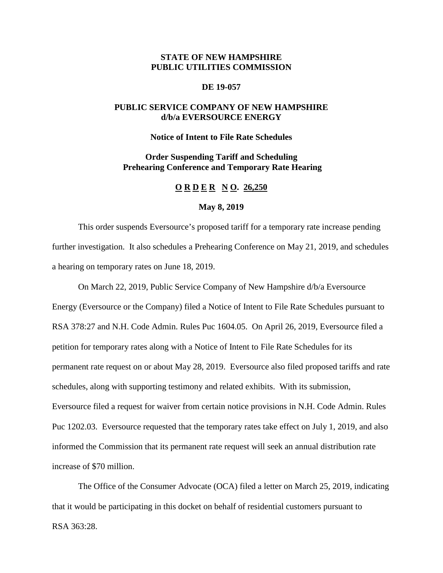# **STATE OF NEW HAMPSHIRE PUBLIC UTILITIES COMMISSION**

### **DE 19-057**

## **PUBLIC SERVICE COMPANY OF NEW HAMPSHIRE d/b/a EVERSOURCE ENERGY**

### **Notice of Intent to File Rate Schedules**

# **Order Suspending Tariff and Scheduling Prehearing Conference and Temporary Rate Hearing**

### **O R D E R N O. 26,250**

### **May 8, 2019**

This order suspends Eversource's proposed tariff for a temporary rate increase pending further investigation. It also schedules a Prehearing Conference on May 21, 2019, and schedules a hearing on temporary rates on June 18, 2019.

On March 22, 2019, Public Service Company of New Hampshire d/b/a Eversource Energy (Eversource or the Company) filed a Notice of Intent to File Rate Schedules pursuant to RSA 378:27 and N.H. Code Admin. Rules Puc 1604.05. On April 26, 2019, Eversource filed a petition for temporary rates along with a Notice of Intent to File Rate Schedules for its permanent rate request on or about May 28, 2019. Eversource also filed proposed tariffs and rate schedules, along with supporting testimony and related exhibits. With its submission, Eversource filed a request for waiver from certain notice provisions in N.H. Code Admin. Rules Puc 1202.03. Eversource requested that the temporary rates take effect on July 1, 2019, and also informed the Commission that its permanent rate request will seek an annual distribution rate increase of \$70 million.

The Office of the Consumer Advocate (OCA) filed a letter on March 25, 2019, indicating that it would be participating in this docket on behalf of residential customers pursuant to RSA 363:28.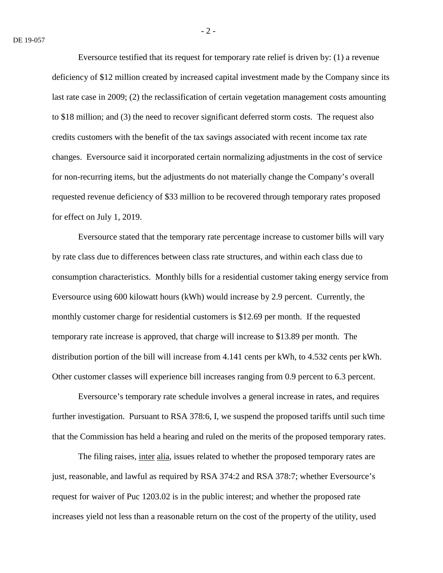Eversource testified that its request for temporary rate relief is driven by: (1) a revenue deficiency of \$12 million created by increased capital investment made by the Company since its last rate case in 2009; (2) the reclassification of certain vegetation management costs amounting to \$18 million; and (3) the need to recover significant deferred storm costs. The request also credits customers with the benefit of the tax savings associated with recent income tax rate changes. Eversource said it incorporated certain normalizing adjustments in the cost of service for non-recurring items, but the adjustments do not materially change the Company's overall requested revenue deficiency of \$33 million to be recovered through temporary rates proposed for effect on July 1, 2019.

Eversource stated that the temporary rate percentage increase to customer bills will vary by rate class due to differences between class rate structures, and within each class due to consumption characteristics. Monthly bills for a residential customer taking energy service from Eversource using 600 kilowatt hours (kWh) would increase by 2.9 percent. Currently, the monthly customer charge for residential customers is \$12.69 per month. If the requested temporary rate increase is approved, that charge will increase to \$13.89 per month. The distribution portion of the bill will increase from 4.141 cents per kWh, to 4.532 cents per kWh. Other customer classes will experience bill increases ranging from 0.9 percent to 6.3 percent.

Eversource's temporary rate schedule involves a general increase in rates, and requires further investigation. Pursuant to RSA 378:6, I, we suspend the proposed tariffs until such time that the Commission has held a hearing and ruled on the merits of the proposed temporary rates.

The filing raises, inter alia, issues related to whether the proposed temporary rates are just, reasonable, and lawful as required by RSA 374:2 and RSA 378:7; whether Eversource's request for waiver of Puc 1203.02 is in the public interest; and whether the proposed rate increases yield not less than a reasonable return on the cost of the property of the utility, used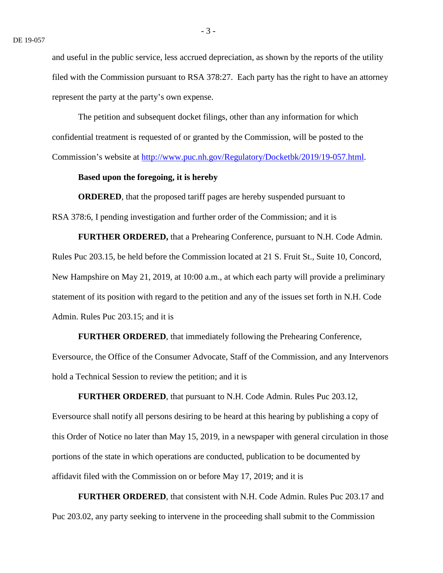and useful in the public service, less accrued depreciation, as shown by the reports of the utility filed with the Commission pursuant to RSA 378:27. Each party has the right to have an attorney represent the party at the party's own expense.

The petition and subsequent docket filings, other than any information for which confidential treatment is requested of or granted by the Commission, will be posted to the Commission's website at [http://www.puc.nh.gov/Regulatory/Docketbk/2019/19-057.html.](http://www.puc.nh.gov/Regulatory/Docketbk/2019/19-057.html)

## **Based upon the foregoing, it is hereby**

**ORDERED**, that the proposed tariff pages are hereby suspended pursuant to RSA 378:6, I pending investigation and further order of the Commission; and it is

**FURTHER ORDERED,** that a Prehearing Conference, pursuant to N.H. Code Admin. Rules Puc 203.15, be held before the Commission located at 21 S. Fruit St., Suite 10, Concord, New Hampshire on May 21, 2019, at 10:00 a.m., at which each party will provide a preliminary statement of its position with regard to the petition and any of the issues set forth in N.H. Code Admin. Rules Puc 203.15; and it is

**FURTHER ORDERED**, that immediately following the Prehearing Conference, Eversource, the Office of the Consumer Advocate, Staff of the Commission, and any Intervenors hold a Technical Session to review the petition; and it is

**FURTHER ORDERED**, that pursuant to N.H. Code Admin. Rules Puc 203.12, Eversource shall notify all persons desiring to be heard at this hearing by publishing a copy of this Order of Notice no later than May 15, 2019, in a newspaper with general circulation in those portions of the state in which operations are conducted, publication to be documented by affidavit filed with the Commission on or before May 17, 2019; and it is

**FURTHER ORDERED**, that consistent with N.H. Code Admin. Rules Puc 203.17 and Puc 203.02, any party seeking to intervene in the proceeding shall submit to the Commission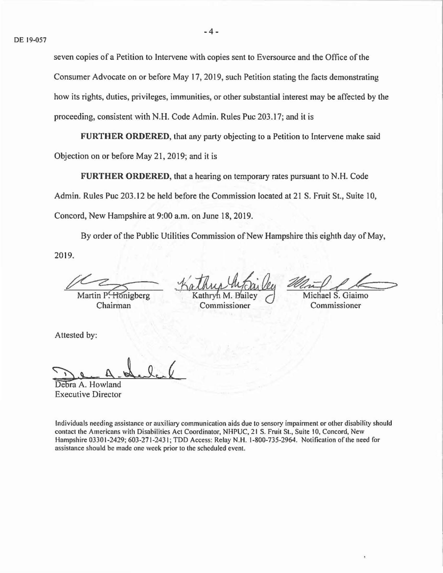seven copies of a Petition to Intervene with copies sent to Eversource and the Office of the Consumer Advocate on or before May 17, 2019, such Petition stating the facts demonstrating how its rights, duties, privileges, immunities, or other substantial interest may be affected by the proceeding, consistent with N.H. Code Admin. Rules Puc 203.17; and it is

**FURTHER ORDERED,** that any party objecting to a Petition to Intervene make said Objection on or before May 21, 2019; and it is

**FURTHER ORDERED,** that a hearing on temporary rates pursuant to N.H. Code Admin. Rules Puc 203.12 be held before the Commission located at 21 S. Fruit St., Suite 10, Concord, New Hampshire at 9:00 a.m. on June 18, 2019.

By order of the Public Utilities Commission of New Hampshire this eighth day of May, 2019. 9.<br>Martin P. Honigberg Kathup My Cailey 200ml Com

Chairman Commissioner

Attested by:

Debra A. Howland Executive Director

Individuals needing assistance or auxiliary communication aids due to sensory impainnent or other disability should contact the Americans with Disabilities Act Coordinator, NHPUC, 21 S. Fruit St., Suite 10, Concord, New Hampshire 03301-2429; 603-271-2431; TDD Access: Relay N.H. 1-800-735-2964. Notification of the need for assistance should be made one week prior to the scheduled event.